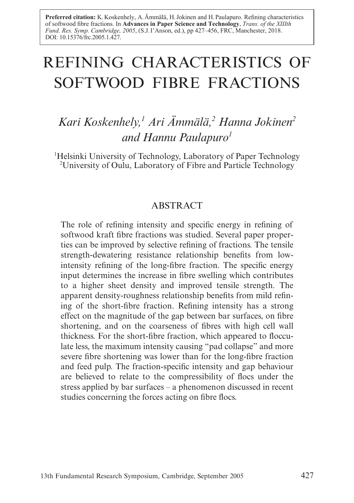Preferred citation: K. Koskenhely, A. Ämmälä, H. Jokinen and H. Paulapuro. Refining characteristics of softwood fibre fractions. In Advances in Paper Science and Technology, *Trans. of the XIIIth Fund. Res. Symp. Cambridge, 2005*, (S.J. I'Anson, ed.), pp 427–456, FRC, Manchester, 2018. DOI: 10.15376/frc.2005.1.427.

# REFINING CHARACTERISTICS OF SOFTWOOD FIBRE FRACTIONS

# *Kari Koskenhely,1 Ari Ämmälä,2 Hanna Jokinen2 and Hannu Paulapuro1*

<sup>1</sup>Helsinki University of Technology, Laboratory of Paper Technology 2 University of Oulu, Laboratory of Fibre and Particle Technology

# ABSTRACT

The role of refining intensity and specific energy in refining of softwood kraft fibre fractions was studied. Several paper properties can be improved by selective refining of fractions. The tensile strength-dewatering resistance relationship benefits from lowintensity refining of the long-fibre fraction. The specific energy input determines the increase in fibre swelling which contributes to a higher sheet density and improved tensile strength. The apparent density-roughness relationship benefits from mild refining of the short-fibre fraction. Refining intensity has a strong effect on the magnitude of the gap between bar surfaces, on fibre shortening, and on the coarseness of fibres with high cell wall thickness. For the short-fibre fraction, which appeared to flocculate less, the maximum intensity causing "pad collapse" and more severe fibre shortening was lower than for the long-fibre fraction and feed pulp. The fraction-specific intensity and gap behaviour are believed to relate to the compressibility of flocs under the stress applied by bar surfaces – a phenomenon discussed in recent studies concerning the forces acting on fibre flocs.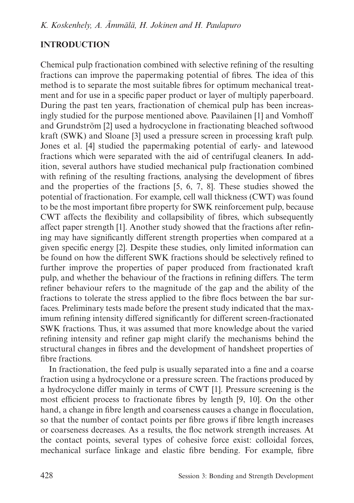# **INTRODUCTION**

Chemical pulp fractionation combined with selective refining of the resulting fractions can improve the papermaking potential of fibres. The idea of this method is to separate the most suitable fibres for optimum mechanical treatment and for use in a specific paper product or layer of multiply paperboard. During the past ten years, fractionation of chemical pulp has been increasingly studied for the purpose mentioned above. Paavilainen [1] and Vomhoff and Grundström [2] used a hydrocyclone in fractionating bleached softwood kraft (SWK) and Sloane [3] used a pressure screen in processing kraft pulp. Jones et al. [4] studied the papermaking potential of early- and latewood fractions which were separated with the aid of centrifugal cleaners. In addition, several authors have studied mechanical pulp fractionation combined with refining of the resulting fractions, analysing the development of fibres and the properties of the fractions [5, 6, 7, 8]. These studies showed the potential of fractionation. For example, cell wall thickness (CWT) was found to be the most important fibre property for SWK reinforcement pulp, because CWT affects the flexibility and collapsibility of fibres, which subsequently affect paper strength [1]. Another study showed that the fractions after refining may have significantly different strength properties when compared at a given specific energy [2]. Despite these studies, only limited information can be found on how the different SWK fractions should be selectively refined to further improve the properties of paper produced from fractionated kraft pulp, and whether the behaviour of the fractions in refining differs. The term refiner behaviour refers to the magnitude of the gap and the ability of the fractions to tolerate the stress applied to the fibre flocs between the bar surfaces. Preliminary tests made before the present study indicated that the maximum refining intensity differed significantly for different screen-fractionated SWK fractions. Thus, it was assumed that more knowledge about the varied refining intensity and refiner gap might clarify the mechanisms behind the structural changes in fibres and the development of handsheet properties of fibre fractions.

In fractionation, the feed pulp is usually separated into a fine and a coarse fraction using a hydrocyclone or a pressure screen. The fractions produced by a hydrocyclone differ mainly in terms of CWT [1]. Pressure screening is the most efficient process to fractionate fibres by length [9, 10]. On the other hand, a change in fibre length and coarseness causes a change in flocculation, so that the number of contact points per fibre grows if fibre length increases or coarseness decreases. As a results, the floc network strength increases. At the contact points, several types of cohesive force exist: colloidal forces, mechanical surface linkage and elastic fibre bending. For example, fibre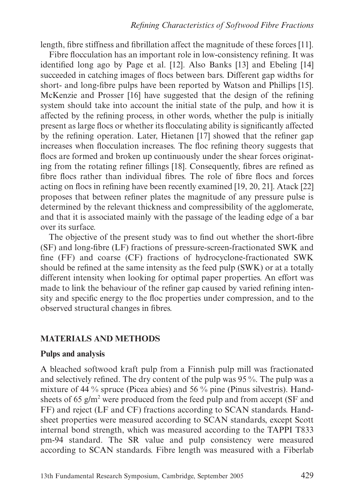length, fibre stiffness and fibrillation affect the magnitude of these forces [11].

Fibre flocculation has an important role in low-consistency refining. It was identified long ago by Page et al. [12]. Also Banks [13] and Ebeling [14] succeeded in catching images of flocs between bars. Different gap widths for short- and long-fibre pulps have been reported by Watson and Phillips [15]. McKenzie and Prosser [16] have suggested that the design of the refining system should take into account the initial state of the pulp, and how it is affected by the refining process, in other words, whether the pulp is initially present as large flocs or whether its flocculating ability is significantly affected by the refining operation. Later, Hietanen [17] showed that the refiner gap increases when flocculation increases. The floc refining theory suggests that flocs are formed and broken up continuously under the shear forces originating from the rotating refiner fillings [18]. Consequently, fibres are refined as fibre flocs rather than individual fibres. The role of fibre flocs and forces acting on flocs in refining have been recently examined [19, 20, 21]. Atack [22] proposes that between refiner plates the magnitude of any pressure pulse is determined by the relevant thickness and compressibility of the agglomerate, and that it is associated mainly with the passage of the leading edge of a bar over its surface.

The objective of the present study was to find out whether the short-fibre (SF) and long-fibre (LF) fractions of pressure-screen-fractionated SWK and fine (FF) and coarse (CF) fractions of hydrocyclone-fractionated SWK should be refined at the same intensity as the feed pulp (SWK) or at a totally different intensity when looking for optimal paper properties. An effort was made to link the behaviour of the refiner gap caused by varied refining intensity and specific energy to the floc properties under compression, and to the observed structural changes in fibres.

## **MATERIALS AND METHODS**

## **Pulps and analysis**

A bleached softwood kraft pulp from a Finnish pulp mill was fractionated and selectively refined. The dry content of the pulp was 95 %. The pulp was a mixture of 44 % spruce (Picea abies) and 56 % pine (Pinus silvestris). Handsheets of 65 g/m<sup>2</sup> were produced from the feed pulp and from accept (SF and FF) and reject (LF and CF) fractions according to SCAN standards. Handsheet properties were measured according to SCAN standards, except Scott internal bond strength, which was measured according to the TAPPI T833 pm-94 standard. The SR value and pulp consistency were measured according to SCAN standards. Fibre length was measured with a Fiberlab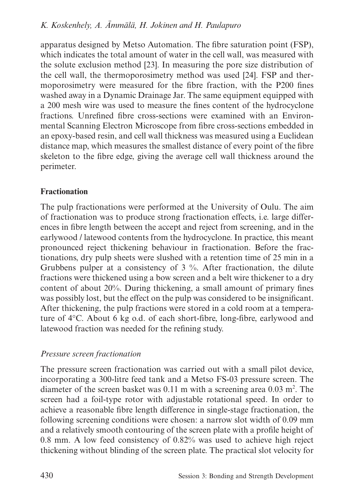apparatus designed by Metso Automation. The fibre saturation point (FSP), which indicates the total amount of water in the cell wall, was measured with the solute exclusion method [23]. In measuring the pore size distribution of the cell wall, the thermoporosimetry method was used [24]. FSP and thermoporosimetry were measured for the fibre fraction, with the P200 fines washed away in a Dynamic Drainage Jar. The same equipment equipped with a 200 mesh wire was used to measure the fines content of the hydrocyclone fractions. Unrefined fibre cross-sections were examined with an Environmental Scanning Electron Microscope from fibre cross-sections embedded in an epoxy-based resin, and cell wall thickness was measured using a Euclidean distance map, which measures the smallest distance of every point of the fibre skeleton to the fibre edge, giving the average cell wall thickness around the perimeter.

# **Fractionation**

The pulp fractionations were performed at the University of Oulu. The aim of fractionation was to produce strong fractionation effects, i.e. large differences in fibre length between the accept and reject from screening, and in the earlywood / latewood contents from the hydrocyclone. In practice, this meant pronounced reject thickening behaviour in fractionation. Before the fractionations, dry pulp sheets were slushed with a retention time of 25 min in a Grubbens pulper at a consistency of 3 %. After fractionation, the dilute fractions were thickened using a bow screen and a belt wire thickener to a dry content of about 20%. During thickening, a small amount of primary fines was possibly lost, but the effect on the pulp was considered to be insignificant. After thickening, the pulp fractions were stored in a cold room at a temperature of 4°C. About 6 kg o.d. of each short-fibre, long-fibre, earlywood and latewood fraction was needed for the refining study.

# *Pressure screen fractionation*

The pressure screen fractionation was carried out with a small pilot device, incorporating a 300-litre feed tank and a Metso FS-03 pressure screen. The diameter of the screen basket was  $0.11$  m with a screening area  $0.03$  m<sup>2</sup>. The screen had a foil-type rotor with adjustable rotational speed. In order to achieve a reasonable fibre length difference in single-stage fractionation, the following screening conditions were chosen: a narrow slot width of 0.09 mm and a relatively smooth contouring of the screen plate with a profile height of 0.8 mm. A low feed consistency of 0.82% was used to achieve high reject thickening without blinding of the screen plate. The practical slot velocity for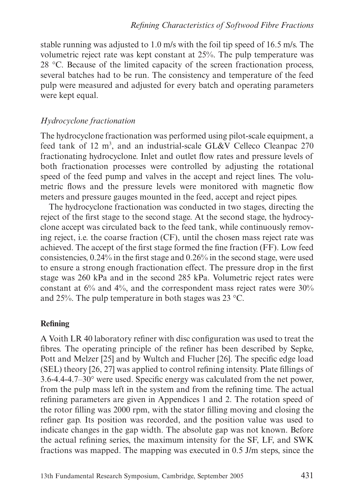stable running was adjusted to 1.0 m/s with the foil tip speed of 16.5 m/s. The volumetric reject rate was kept constant at 25%. The pulp temperature was 28 °C. Because of the limited capacity of the screen fractionation process, several batches had to be run. The consistency and temperature of the feed pulp were measured and adjusted for every batch and operating parameters were kept equal.

### *Hydrocyclone fractionation*

The hydrocyclone fractionation was performed using pilot-scale equipment, a feed tank of 12 m<sup>3</sup>, and an industrial-scale GL&V Celleco Cleanpac 270 fractionating hydrocyclone. Inlet and outlet flow rates and pressure levels of both fractionation processes were controlled by adjusting the rotational speed of the feed pump and valves in the accept and reject lines. The volumetric flows and the pressure levels were monitored with magnetic flow meters and pressure gauges mounted in the feed, accept and reject pipes.

The hydrocyclone fractionation was conducted in two stages, directing the reject of the first stage to the second stage. At the second stage, the hydrocyclone accept was circulated back to the feed tank, while continuously removing reject, i.e. the coarse fraction (CF), until the chosen mass reject rate was achieved. The accept of the first stage formed the fine fraction (FF). Low feed consistencies, 0.24% in the first stage and 0.26% in the second stage, were used to ensure a strong enough fractionation effect. The pressure drop in the first stage was 260 kPa and in the second 285 kPa. Volumetric reject rates were constant at 6% and 4%, and the correspondent mass reject rates were 30% and 25%. The pulp temperature in both stages was 23 °C.

## **Refining**

A Voith LR 40 laboratory refiner with disc configuration was used to treat the fibres. The operating principle of the refiner has been described by Sepke, Pott and Melzer [25] and by Wultch and Flucher [26]. The specific edge load (SEL) theory [26, 27] was applied to control refining intensity. Plate fillings of 3.6-4.4-4.7–30° were used. Specific energy was calculated from the net power, from the pulp mass left in the system and from the refining time. The actual refining parameters are given in Appendices 1 and 2. The rotation speed of the rotor filling was 2000 rpm, with the stator filling moving and closing the refiner gap. Its position was recorded, and the position value was used to indicate changes in the gap width. The absolute gap was not known. Before the actual refining series, the maximum intensity for the SF, LF, and SWK fractions was mapped. The mapping was executed in 0.5 J/m steps, since the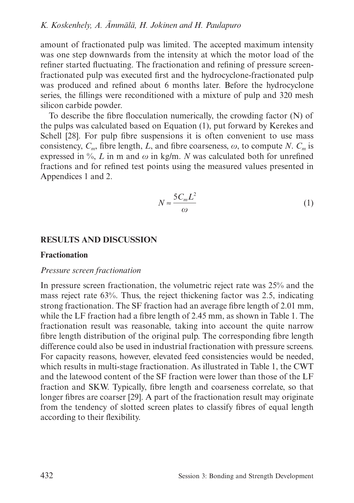amount of fractionated pulp was limited. The accepted maximum intensity was one step downwards from the intensity at which the motor load of the refiner started fluctuating. The fractionation and refining of pressure screenfractionated pulp was executed first and the hydrocyclone-fractionated pulp was produced and refined about 6 months later. Before the hydrocyclone series, the fillings were reconditioned with a mixture of pulp and 320 mesh silicon carbide powder.

To describe the fibre flocculation numerically, the crowding factor (N) of the pulps was calculated based on Equation (1), put forward by Kerekes and Schell [28]. For pulp fibre suspensions it is often convenient to use mass consistency,  $C_m$ , fibre length, *L*, and fibre coarseness,  $\omega$ , to compute *N*.  $C_m$  is expressed in  $\%$ , *L* in m and  $\omega$  in kg/m. *N* was calculated both for unrefined fractions and for refined test points using the measured values presented in Appendices 1 and 2.

$$
N \approx \frac{5C_m L^2}{\omega} \tag{1}
$$

## **RESULTS AND DISCUSSION**

#### **Fractionation**

#### *Pressure screen fractionation*

In pressure screen fractionation, the volumetric reject rate was 25% and the mass reject rate 63%. Thus, the reject thickening factor was 2.5, indicating strong fractionation. The SF fraction had an average fibre length of 2.01 mm, while the LF fraction had a fibre length of 2.45 mm, as shown in Table 1. The fractionation result was reasonable, taking into account the quite narrow fibre length distribution of the original pulp. The corresponding fibre length difference could also be used in industrial fractionation with pressure screens. For capacity reasons, however, elevated feed consistencies would be needed, which results in multi-stage fractionation. As illustrated in Table 1, the CWT and the latewood content of the SF fraction were lower than those of the LF fraction and SKW. Typically, fibre length and coarseness correlate, so that longer fibres are coarser [29]. A part of the fractionation result may originate from the tendency of slotted screen plates to classify fibres of equal length according to their flexibility.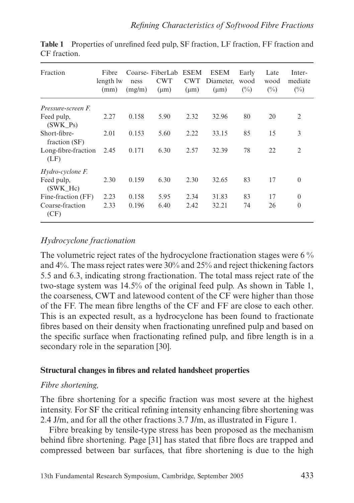| Fraction                      | Fibre<br>length lw<br>(mm) | ness<br>(mg/m) | Coarse-FiberLab ESEM<br><b>CWT</b><br>$(\mu m)$ | <b>CWT</b><br>$(\mu m)$ | <b>ESEM</b><br>Diameter,<br>$(\mu m)$ | Early<br>wood<br>$(\%)$ | Late<br>wood<br>$(\%)$ | Inter-<br>mediate<br>$(\%)$ |
|-------------------------------|----------------------------|----------------|-------------------------------------------------|-------------------------|---------------------------------------|-------------------------|------------------------|-----------------------------|
| Pressure-screen F.            |                            |                |                                                 |                         |                                       |                         |                        |                             |
| Feed pulp,<br>$(SWK_Ps)$      | 2.27                       | 0.158          | 5.90                                            | 2.32                    | 32.96                                 | 80                      | 20                     | 2                           |
| Short-fibre-<br>fraction (SF) | 2.01                       | 0.153          | 5.60                                            | 2.22                    | 33.15                                 | 85                      | 15                     | 3                           |
| Long-fibre-fraction<br>(LF)   | 2.45                       | 0.171          | 6.30                                            | 2.57                    | 32.39                                 | 78                      | 22                     | 2                           |
| Hydro-cyclone F.              |                            |                |                                                 |                         |                                       |                         |                        |                             |
| Feed pulp,<br>$(SWK_Hc)$      | 2.30                       | 0.159          | 6.30                                            | 2.30                    | 32.65                                 | 83                      | 17                     | $\Omega$                    |
| Fine-fraction (FF)            | 2.23                       | 0.158          | 5.95                                            | 2.34                    | 31.83                                 | 83                      | 17                     | $\overline{0}$              |
| Coarse-fraction<br>(CF)       | 2.33                       | 0.196          | 6.40                                            | 2.42                    | 32.21                                 | 74                      | 26                     | $\Omega$                    |

**Table 1** Properties of unrefined feed pulp, SF fraction, LF fraction, FF fraction and CF fraction.

## *Hydrocyclone fractionation*

The volumetric reject rates of the hydrocyclone fractionation stages were 6 % and 4%. The mass reject rates were 30% and 25% and reject thickening factors 5.5 and 6.3, indicating strong fractionation. The total mass reject rate of the two-stage system was 14.5% of the original feed pulp. As shown in Table 1, the coarseness, CWT and latewood content of the CF were higher than those of the FF. The mean fibre lengths of the CF and FF are close to each other. This is an expected result, as a hydrocyclone has been found to fractionate fibres based on their density when fractionating unrefined pulp and based on the specific surface when fractionating refined pulp, and fibre length is in a secondary role in the separation [30].

## **Structural changes in fibres and related handsheet properties**

## *Fibre shortening,*

The fibre shortening for a specific fraction was most severe at the highest intensity. For SF the critical refining intensity enhancing fibre shortening was 2.4 J/m, and for all the other fractions 3.7 J/m, as illustrated in Figure 1.

Fibre breaking by tensile-type stress has been proposed as the mechanism behind fibre shortening. Page [31] has stated that fibre flocs are trapped and compressed between bar surfaces, that fibre shortening is due to the high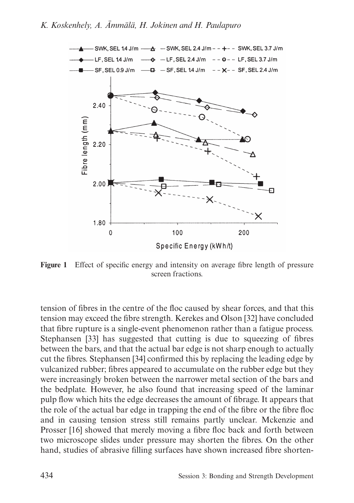

**Figure 1** Effect of specific energy and intensity on average fibre length of pressure screen fractions.

tension of fibres in the centre of the floc caused by shear forces, and that this tension may exceed the fibre strength. Kerekes and Olson [32] have concluded that fibre rupture is a single-event phenomenon rather than a fatigue process. Stephansen [33] has suggested that cutting is due to squeezing of fibres between the bars, and that the actual bar edge is not sharp enough to actually cut the fibres. Stephansen [34] confirmed this by replacing the leading edge by vulcanized rubber; fibres appeared to accumulate on the rubber edge but they were increasingly broken between the narrower metal section of the bars and the bedplate. However, he also found that increasing speed of the laminar pulp flow which hits the edge decreases the amount of fibrage. It appears that the role of the actual bar edge in trapping the end of the fibre or the fibre floc and in causing tension stress still remains partly unclear. Mckenzie and Prosser [16] showed that merely moving a fibre floc back and forth between two microscope slides under pressure may shorten the fibres. On the other hand, studies of abrasive filling surfaces have shown increased fibre shorten-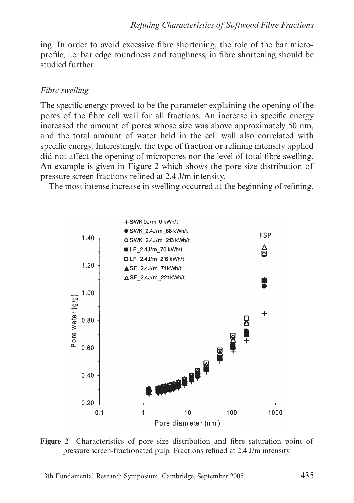ing. In order to avoid excessive fibre shortening, the role of the bar microprofile, i.e. bar edge roundness and roughness, in fibre shortening should be studied further.

# *Fibre swelling*

The specific energy proved to be the parameter explaining the opening of the pores of the fibre cell wall for all fractions. An increase in specific energy increased the amount of pores whose size was above approximately 50 nm, and the total amount of water held in the cell wall also correlated with specific energy. Interestingly, the type of fraction or refining intensity applied did not affect the opening of micropores nor the level of total fibre swelling. An example is given in Figure 2 which shows the pore size distribution of pressure screen fractions refined at 2.4 J/m intensity.

The most intense increase in swelling occurred at the beginning of refining,



**Figure 2** Characteristics of pore size distribution and fibre saturation point of pressure screen-fractionated pulp. Fractions refined at 2.4 J/m intensity.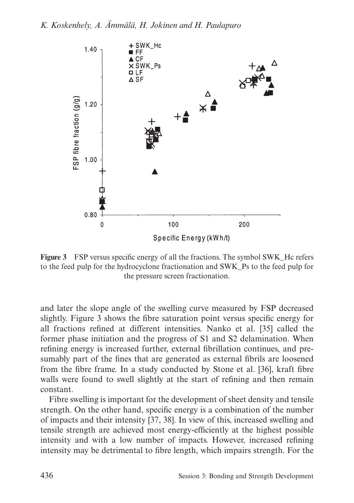

**Figure 3** FSP versus specific energy of all the fractions. The symbol SWK\_Hc refers to the feed pulp for the hydrocyclone fractionation and SWK\_Ps to the feed pulp for the pressure screen fractionation.

and later the slope angle of the swelling curve measured by FSP decreased slightly. Figure 3 shows the fibre saturation point versus specific energy for all fractions refined at different intensities. Nanko et al. [35] called the former phase initiation and the progress of S1 and S2 delamination. When refining energy is increased further, external fibrillation continues, and presumably part of the fines that are generated as external fibrils are loosened from the fibre frame. In a study conducted by Stone et al. [36], kraft fibre walls were found to swell slightly at the start of refining and then remain constant.

Fibre swelling is important for the development of sheet density and tensile strength. On the other hand, specific energy is a combination of the number of impacts and their intensity [37, 38]. In view of this, increased swelling and tensile strength are achieved most energy-efficiently at the highest possible intensity and with a low number of impacts. However, increased refining intensity may be detrimental to fibre length, which impairs strength. For the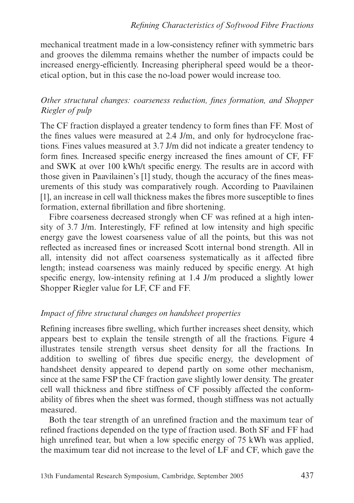mechanical treatment made in a low-consistency refiner with symmetric bars and grooves the dilemma remains whether the number of impacts could be increased energy-efficiently. Increasing pheripheral speed would be a theoretical option, but in this case the no-load power would increase too.

# *Other structural changes: coarseness reduction, fines formation, and Shopper Riegler of pulp*

The CF fraction displayed a greater tendency to form fines than FF. Most of the fines values were measured at 2.4 J/m, and only for hydrocyclone fractions. Fines values measured at 3.7 J/m did not indicate a greater tendency to form fines. Increased specific energy increased the fines amount of CF, FF and SWK at over 100 kWh/t specific energy. The results are in accord with those given in Paavilainen's [1] study, though the accuracy of the fines measurements of this study was comparatively rough. According to Paavilainen [1], an increase in cell wall thickness makes the fibres more susceptible to fines formation, external fibrillation and fibre shortening.

Fibre coarseness decreased strongly when CF was refined at a high intensity of 3.7 J/m. Interestingly, FF refined at low intensity and high specific energy gave the lowest coarseness value of all the points, but this was not reflected as increased fines or increased Scott internal bond strength. All in all, intensity did not affect coarseness systematically as it affected fibre length; instead coarseness was mainly reduced by specific energy. At high specific energy, low-intensity refining at 1.4 J/m produced a slightly lower Shopper Riegler value for LF, CF and FF.

# *Impact of fibre structural changes on handsheet properties*

Refining increases fibre swelling, which further increases sheet density, which appears best to explain the tensile strength of all the fractions. Figure 4 illustrates tensile strength versus sheet density for all the fractions. In addition to swelling of fibres due specific energy, the development of handsheet density appeared to depend partly on some other mechanism, since at the same FSP the CF fraction gave slightly lower density. The greater cell wall thickness and fibre stiffness of CF possibly affected the conformability of fibres when the sheet was formed, though stiffness was not actually measured.

Both the tear strength of an unrefined fraction and the maximum tear of refined fractions depended on the type of fraction used. Both SF and FF had high unrefined tear, but when a low specific energy of 75 kWh was applied, the maximum tear did not increase to the level of LF and CF, which gave the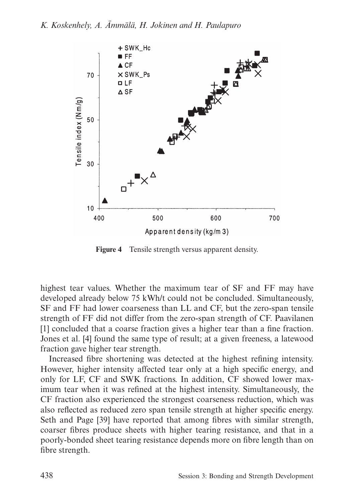

**Figure 4** Tensile strength versus apparent density.

highest tear values. Whether the maximum tear of SF and FF may have developed already below 75 kWh/t could not be concluded. Simultaneously, SF and FF had lower coarseness than LL and CF, but the zero-span tensile strength of FF did not differ from the zero-span strength of CF. Paavilanen [1] concluded that a coarse fraction gives a higher tear than a fine fraction. Jones et al. [4] found the same type of result; at a given freeness, a latewood fraction gave higher tear strength.

Increased fibre shortening was detected at the highest refining intensity. However, higher intensity affected tear only at a high specific energy, and only for LF, CF and SWK fractions. In addition, CF showed lower maximum tear when it was refined at the highest intensity. Simultaneously, the CF fraction also experienced the strongest coarseness reduction, which was also reflected as reduced zero span tensile strength at higher specific energy. Seth and Page [39] have reported that among fibres with similar strength, coarser fibres produce sheets with higher tearing resistance, and that in a poorly-bonded sheet tearing resistance depends more on fibre length than on fibre strength.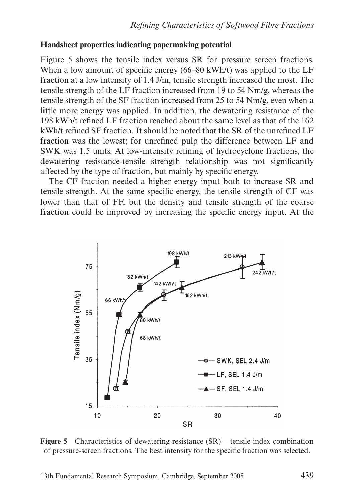## **Handsheet properties indicating papermaking potential**

Figure 5 shows the tensile index versus SR for pressure screen fractions. When a low amount of specific energy (66–80 kWh/t) was applied to the LF fraction at a low intensity of 1.4 J/m, tensile strength increased the most. The tensile strength of the LF fraction increased from 19 to 54 Nm/g, whereas the tensile strength of the SF fraction increased from 25 to 54 Nm/g, even when a little more energy was applied. In addition, the dewatering resistance of the 198 kWh/t refined LF fraction reached about the same level as that of the 162 kWh/t refined SF fraction. It should be noted that the SR of the unrefined LF fraction was the lowest; for unrefined pulp the difference between LF and SWK was 1.5 units. At low-intensity refining of hydrocyclone fractions, the dewatering resistance-tensile strength relationship was not significantly affected by the type of fraction, but mainly by specific energy.

The CF fraction needed a higher energy input both to increase SR and tensile strength. At the same specific energy, the tensile strength of CF was lower than that of FF, but the density and tensile strength of the coarse fraction could be improved by increasing the specific energy input. At the



**Figure 5** Characteristics of dewatering resistance (SR) – tensile index combination of pressure-screen fractions. The best intensity for the specific fraction was selected.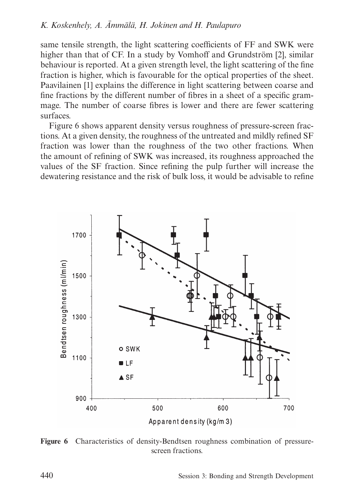same tensile strength, the light scattering coefficients of FF and SWK were higher than that of CF. In a study by Vomhoff and Grundström [2], similar behaviour is reported. At a given strength level, the light scattering of the fine fraction is higher, which is favourable for the optical properties of the sheet. Paavilainen [1] explains the difference in light scattering between coarse and fine fractions by the different number of fibres in a sheet of a specific grammage. The number of coarse fibres is lower and there are fewer scattering surfaces.

Figure 6 shows apparent density versus roughness of pressure-screen fractions. At a given density, the roughness of the untreated and mildly refined SF fraction was lower than the roughness of the two other fractions. When the amount of refining of SWK was increased, its roughness approached the values of the SF fraction. Since refining the pulp further will increase the dewatering resistance and the risk of bulk loss, it would be advisable to refine



**Figure 6** Characteristics of density-Bendtsen roughness combination of pressurescreen fractions.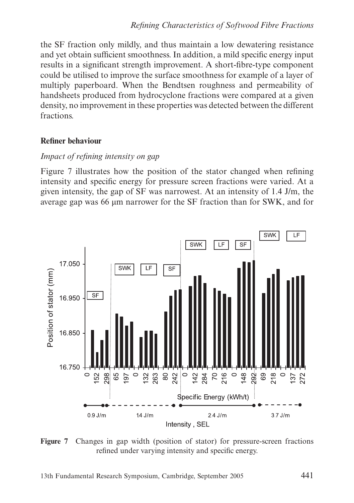the SF fraction only mildly, and thus maintain a low dewatering resistance and yet obtain sufficient smoothness. In addition, a mild specific energy input results in a significant strength improvement. A short-fibre-type component could be utilised to improve the surface smoothness for example of a layer of multiply paperboard. When the Bendtsen roughness and permeability of handsheets produced from hydrocyclone fractions were compared at a given density, no improvement in these properties was detected between the different fractions.

## **Refiner behaviour**

## *Impact of refining intensity on gap*

Figure 7 illustrates how the position of the stator changed when refining intensity and specific energy for pressure screen fractions were varied. At a given intensity, the gap of SF was narrowest. At an intensity of 1.4 J/m, the average gap was 66 μm narrower for the SF fraction than for SWK, and for



**Figure 7** Changes in gap width (position of stator) for pressure-screen fractions refined under varying intensity and specific energy.

13th Fundamental Research Symposium, Cambridge, September 2005 441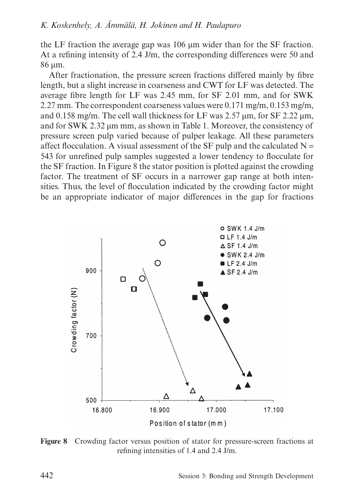the LF fraction the average gap was 106 μm wider than for the SF fraction. At a refining intensity of 2.4 J/m, the corresponding differences were 50 and 86 μm.

After fractionation, the pressure screen fractions differed mainly by fibre length, but a slight increase in coarseness and CWT for LF was detected. The average fibre length for LF was 2.45 mm, for SF 2.01 mm, and for SWK 2.27 mm. The correspondent coarseness values were 0.171 mg/m, 0.153 mg/m, and 0.158 mg/m. The cell wall thickness for LF was 2.57 μm, for SF 2.22 μm, and for SWK 2.32 μm mm, as shown in Table 1. Moreover, the consistency of pressure screen pulp varied because of pulper leakage. All these parameters affect flocculation. A visual assessment of the SF pulp and the calculated  $N =$ 543 for unrefined pulp samples suggested a lower tendency to flocculate for the SF fraction. In Figure 8 the stator position is plotted against the crowding factor. The treatment of SF occurs in a narrower gap range at both intensities. Thus, the level of flocculation indicated by the crowding factor might be an appropriate indicator of major differences in the gap for fractions



**Figure 8** Crowding factor versus position of stator for pressure-screen fractions at refining intensities of 1.4 and 2.4 J/m.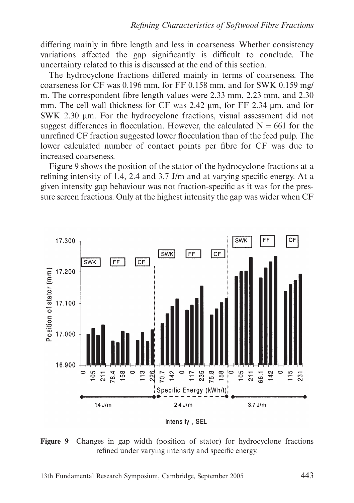differing mainly in fibre length and less in coarseness. Whether consistency variations affected the gap significantly is difficult to conclude. The uncertainty related to this is discussed at the end of this section.

The hydrocyclone fractions differed mainly in terms of coarseness. The coarseness for CF was 0.196 mm, for FF 0.158 mm, and for SWK 0.159 mg/ m. The correspondent fibre length values were 2.33 mm, 2.23 mm, and 2.30 mm. The cell wall thickness for CF was 2.42 μm, for FF 2.34 μm, and for SWK 2.30 μm. For the hydrocyclone fractions, visual assessment did not suggest differences in flocculation. However, the calculated  $N = 661$  for the unrefined CF fraction suggested lower flocculation than of the feed pulp. The lower calculated number of contact points per fibre for CF was due to increased coarseness.

Figure 9 shows the position of the stator of the hydrocyclone fractions at a refining intensity of 1.4, 2.4 and 3.7 J/m and at varying specific energy. At a given intensity gap behaviour was not fraction-specific as it was for the pressure screen fractions. Only at the highest intensity the gap was wider when CF



Intensity, SEL

**Figure 9** Changes in gap width (position of stator) for hydrocyclone fractions refined under varying intensity and specific energy.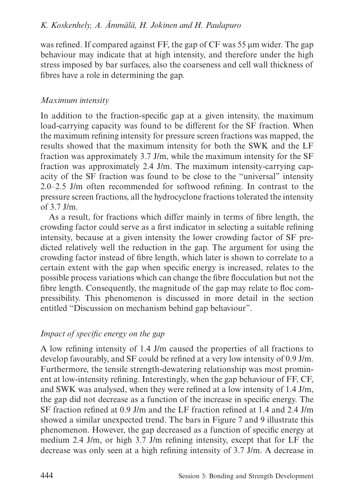was refined. If compared against FF, the gap of CF was 55 μm wider. The gap behaviour may indicate that at high intensity, and therefore under the high stress imposed by bar surfaces, also the coarseness and cell wall thickness of fibres have a role in determining the gap.

# *Maximum intensity*

In addition to the fraction-specific gap at a given intensity, the maximum load-carrying capacity was found to be different for the SF fraction. When the maximum refining intensity for pressure screen fractions was mapped, the results showed that the maximum intensity for both the SWK and the LF fraction was approximately 3.7 J/m, while the maximum intensity for the SF fraction was approximately 2.4 J/m. The maximum intensity-carrying capacity of the SF fraction was found to be close to the "universal" intensity 2.0–2.5 J/m often recommended for softwood refining. In contrast to the pressure screen fractions, all the hydrocyclone fractions tolerated the intensity of 3.7 J/m.

As a result, for fractions which differ mainly in terms of fibre length, the crowding factor could serve as a first indicator in selecting a suitable refining intensity, because at a given intensity the lower crowding factor of SF predicted relatively well the reduction in the gap. The argument for using the crowding factor instead of fibre length, which later is shown to correlate to a certain extent with the gap when specific energy is increased, relates to the possible process variations which can change the fibre flocculation but not the fibre length. Consequently, the magnitude of the gap may relate to floc compressibility. This phenomenon is discussed in more detail in the section entitled "Discussion on mechanism behind gap behaviour".

# *Impact of specific energy on the gap*

A low refining intensity of 1.4 J/m caused the properties of all fractions to develop favourably, and SF could be refined at a very low intensity of 0.9 J/m. Furthermore, the tensile strength-dewatering relationship was most prominent at low-intensity refining. Interestingly, when the gap behaviour of FF, CF, and SWK was analysed, when they were refined at a low intensity of 1.4 J/m, the gap did not decrease as a function of the increase in specific energy. The SF fraction refined at 0.9 J/m and the LF fraction refined at 1.4 and 2.4 J/m showed a similar unexpected trend. The bars in Figure 7 and 9 illustrate this phenomenon. However, the gap decreased as a function of specific energy at medium 2.4 J/m, or high 3.7 J/m refining intensity, except that for LF the decrease was only seen at a high refining intensity of 3.7 J/m. A decrease in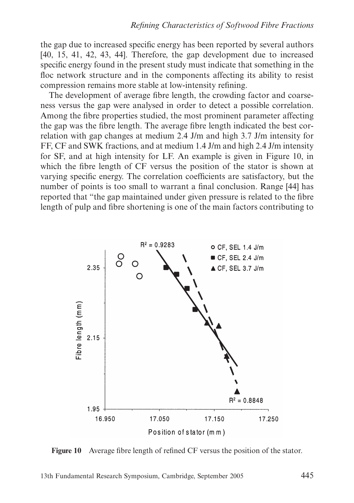the gap due to increased specific energy has been reported by several authors [40, 15, 41, 42, 43, 44]. Therefore, the gap development due to increased specific energy found in the present study must indicate that something in the floc network structure and in the components affecting its ability to resist compression remains more stable at low-intensity refining.

The development of average fibre length, the crowding factor and coarseness versus the gap were analysed in order to detect a possible correlation. Among the fibre properties studied, the most prominent parameter affecting the gap was the fibre length. The average fibre length indicated the best correlation with gap changes at medium 2.4 J/m and high 3.7 J/m intensity for FF, CF and SWK fractions, and at medium 1.4 J/m and high 2.4 J/m intensity for SF, and at high intensity for LF. An example is given in Figure 10, in which the fibre length of CF versus the position of the stator is shown at varying specific energy. The correlation coefficients are satisfactory, but the number of points is too small to warrant a final conclusion. Range [44] has reported that "the gap maintained under given pressure is related to the fibre length of pulp and fibre shortening is one of the main factors contributing to



**Figure 10** Average fibre length of refined CF versus the position of the stator.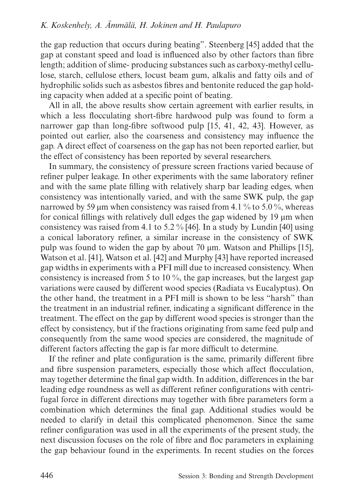the gap reduction that occurs during beating". Steenberg [45] added that the gap at constant speed and load is influenced also by other factors than fibre length; addition of slime- producing substances such as carboxy-methyl cellulose, starch, cellulose ethers, locust beam gum, alkalis and fatty oils and of hydrophilic solids such as asbestos fibres and bentonite reduced the gap holding capacity when added at a specific point of beating.

All in all, the above results show certain agreement with earlier results, in which a less flocculating short-fibre hardwood pulp was found to form a narrower gap than long-fibre softwood pulp [15, 41, 42, 43]. However, as pointed out earlier, also the coarseness and consistency may influence the gap. A direct effect of coarseness on the gap has not been reported earlier, but the effect of consistency has been reported by several researchers.

In summary, the consistency of pressure screen fractions varied because of refiner pulper leakage. In other experiments with the same laboratory refiner and with the same plate filling with relatively sharp bar leading edges, when consistency was intentionally varied, and with the same SWK pulp, the gap narrowed by 59  $\mu$ m when consistency was raised from 4.1 % to 5.0 %, whereas for conical fillings with relatively dull edges the gap widened by 19 μm when consistency was raised from 4.1 to 5.2 % [46]. In a study by Lundin [40] using a conical laboratory refiner, a similar increase in the consistency of SWK pulp was found to widen the gap by about 70 μm. Watson and Phillips [15], Watson et al. [41], Watson et al. [42] and Murphy [43] have reported increased gap widths in experiments with a PFI mill due to increased consistency. When consistency is increased from 5 to 10 %, the gap increases, but the largest gap variations were caused by different wood species (Radiata vs Eucalyptus). On the other hand, the treatment in a PFI mill is shown to be less "harsh" than the treatment in an industrial refiner, indicating a significant difference in the treatment. The effect on the gap by different wood species is stronger than the effect by consistency, but if the fractions originating from same feed pulp and consequently from the same wood species are considered, the magnitude of different factors affecting the gap is far more difficult to determine.

If the refiner and plate configuration is the same, primarily different fibre and fibre suspension parameters, especially those which affect flocculation, may together determine the final gap width. In addition, differences in the bar leading edge roundness as well as different refiner configurations with centrifugal force in different directions may together with fibre parameters form a combination which determines the final gap. Additional studies would be needed to clarify in detail this complicated phenomenon. Since the same refiner configuration was used in all the experiments of the present study, the next discussion focuses on the role of fibre and floc parameters in explaining the gap behaviour found in the experiments. In recent studies on the forces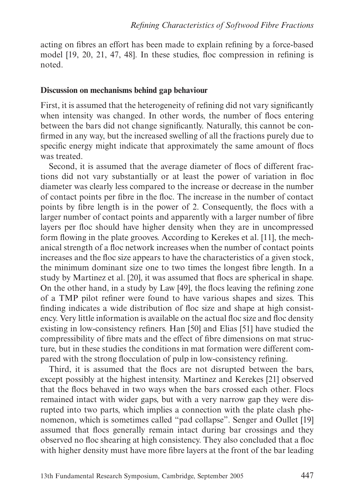acting on fibres an effort has been made to explain refining by a force-based model [19, 20, 21, 47, 48]. In these studies, floc compression in refining is noted.

#### **Discussion on mechanisms behind gap behaviour**

First, it is assumed that the heterogeneity of refining did not vary significantly when intensity was changed. In other words, the number of flocs entering between the bars did not change significantly. Naturally, this cannot be confirmed in any way, but the increased swelling of all the fractions purely due to specific energy might indicate that approximately the same amount of flocs was treated.

Second, it is assumed that the average diameter of flocs of different fractions did not vary substantially or at least the power of variation in floc diameter was clearly less compared to the increase or decrease in the number of contact points per fibre in the floc. The increase in the number of contact points by fibre length is in the power of 2. Consequently, the flocs with a larger number of contact points and apparently with a larger number of fibre layers per floc should have higher density when they are in uncompressed form flowing in the plate grooves. According to Kerekes et al. [11], the mechanical strength of a floc network increases when the number of contact points increases and the floc size appears to have the characteristics of a given stock, the minimum dominant size one to two times the longest fibre length. In a study by Martinez et al. [20], it was assumed that flocs are spherical in shape. On the other hand, in a study by Law [49], the flocs leaving the refining zone of a TMP pilot refiner were found to have various shapes and sizes. This finding indicates a wide distribution of floc size and shape at high consistency. Very little information is available on the actual floc size and floc density existing in low-consistency refiners. Han [50] and Elias [51] have studied the compressibility of fibre mats and the effect of fibre dimensions on mat structure, but in these studies the conditions in mat formation were different compared with the strong flocculation of pulp in low-consistency refining.

Third, it is assumed that the flocs are not disrupted between the bars, except possibly at the highest intensity. Martinez and Kerekes [21] observed that the flocs behaved in two ways when the bars crossed each other. Flocs remained intact with wider gaps, but with a very narrow gap they were disrupted into two parts, which implies a connection with the plate clash phenomenon, which is sometimes called "pad collapse". Senger and Oullet [19] assumed that flocs generally remain intact during bar crossings and they observed no floc shearing at high consistency. They also concluded that a floc with higher density must have more fibre layers at the front of the bar leading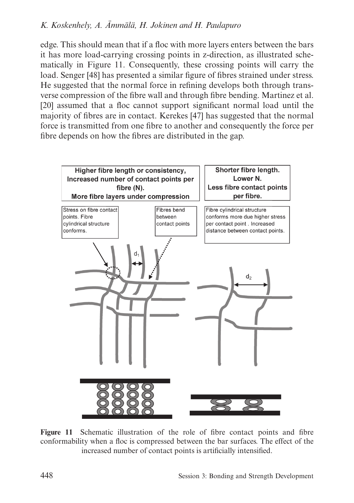edge. This should mean that if a floc with more layers enters between the bars it has more load-carrying crossing points in z-direction, as illustrated schematically in Figure 11. Consequently, these crossing points will carry the load. Senger [48] has presented a similar figure of fibres strained under stress. He suggested that the normal force in refining develops both through transverse compression of the fibre wall and through fibre bending. Martinez et al. [20] assumed that a floc cannot support significant normal load until the majority of fibres are in contact. Kerekes [47] has suggested that the normal force is transmitted from one fibre to another and consequently the force per fibre depends on how the fibres are distributed in the gap.



**Figure 11** Schematic illustration of the role of fibre contact points and fibre conformability when a floc is compressed between the bar surfaces. The effect of the increased number of contact points is artificially intensified.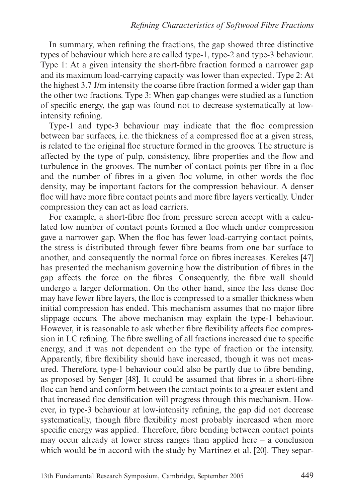In summary, when refining the fractions, the gap showed three distinctive types of behaviour which here are called type-1, type-2 and type-3 behaviour. Type 1: At a given intensity the short-fibre fraction formed a narrower gap and its maximum load-carrying capacity was lower than expected. Type 2: At the highest 3.7 J/m intensity the coarse fibre fraction formed a wider gap than the other two fractions. Type 3: When gap changes were studied as a function of specific energy, the gap was found not to decrease systematically at lowintensity refining.

Type-1 and type-3 behaviour may indicate that the floc compression between bar surfaces, i.e. the thickness of a compressed floc at a given stress, is related to the original floc structure formed in the grooves. The structure is affected by the type of pulp, consistency, fibre properties and the flow and turbulence in the grooves. The number of contact points per fibre in a floc and the number of fibres in a given floc volume, in other words the floc density, may be important factors for the compression behaviour. A denser floc will have more fibre contact points and more fibre layers vertically. Under compression they can act as load carriers.

For example, a short-fibre floc from pressure screen accept with a calculated low number of contact points formed a floc which under compression gave a narrower gap. When the floc has fewer load-carrying contact points, the stress is distributed through fewer fibre beams from one bar surface to another, and consequently the normal force on fibres increases. Kerekes [47] has presented the mechanism governing how the distribution of fibres in the gap affects the force on the fibres. Consequently, the fibre wall should undergo a larger deformation. On the other hand, since the less dense floc may have fewer fibre layers, the floc is compressed to a smaller thickness when initial compression has ended. This mechanism assumes that no major fibre slippage occurs. The above mechanism may explain the type-1 behaviour. However, it is reasonable to ask whether fibre flexibility affects floc compression in LC refining. The fibre swelling of all fractions increased due to specific energy, and it was not dependent on the type of fraction or the intensity. Apparently, fibre flexibility should have increased, though it was not measured. Therefore, type-1 behaviour could also be partly due to fibre bending, as proposed by Senger [48]. It could be assumed that fibres in a short-fibre floc can bend and conform between the contact points to a greater extent and that increased floc densification will progress through this mechanism. However, in type-3 behaviour at low-intensity refining, the gap did not decrease systematically, though fibre flexibility most probably increased when more specific energy was applied. Therefore, fibre bending between contact points may occur already at lower stress ranges than applied here – a conclusion which would be in accord with the study by Martinez et al. [20]. They separ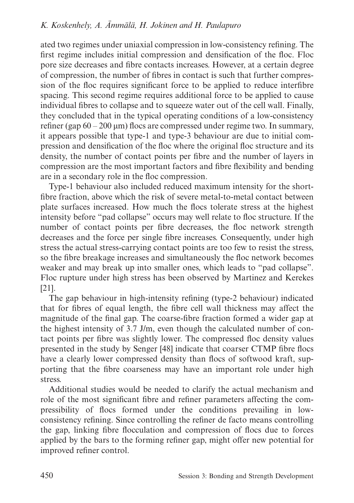ated two regimes under uniaxial compression in low-consistency refining. The first regime includes initial compression and densification of the floc. Floc pore size decreases and fibre contacts increases. However, at a certain degree of compression, the number of fibres in contact is such that further compression of the floc requires significant force to be applied to reduce interfibre spacing. This second regime requires additional force to be applied to cause individual fibres to collapse and to squeeze water out of the cell wall. Finally, they concluded that in the typical operating conditions of a low-consistency refiner (gap  $60 - 200 \,\mathrm{\upmu m}$ ) flocs are compressed under regime two. In summary, it appears possible that type-1 and type-3 behaviour are due to initial compression and densification of the floc where the original floc structure and its density, the number of contact points per fibre and the number of layers in compression are the most important factors and fibre flexibility and bending are in a secondary role in the floc compression.

Type-1 behaviour also included reduced maximum intensity for the shortfibre fraction, above which the risk of severe metal-to-metal contact between plate surfaces increased. How much the flocs tolerate stress at the highest intensity before "pad collapse" occurs may well relate to floc structure. If the number of contact points per fibre decreases, the floc network strength decreases and the force per single fibre increases. Consequently, under high stress the actual stress-carrying contact points are too few to resist the stress, so the fibre breakage increases and simultaneously the floc network becomes weaker and may break up into smaller ones, which leads to "pad collapse". Floc rupture under high stress has been observed by Martinez and Kerekes [21].

The gap behaviour in high-intensity refining (type-2 behaviour) indicated that for fibres of equal length, the fibre cell wall thickness may affect the magnitude of the final gap. The coarse-fibre fraction formed a wider gap at the highest intensity of 3.7 J/m, even though the calculated number of contact points per fibre was slightly lower. The compressed floc density values presented in the study by Senger [48] indicate that coarser CTMP fibre flocs have a clearly lower compressed density than flocs of softwood kraft, supporting that the fibre coarseness may have an important role under high stress.

Additional studies would be needed to clarify the actual mechanism and role of the most significant fibre and refiner parameters affecting the compressibility of flocs formed under the conditions prevailing in lowconsistency refining. Since controlling the refiner de facto means controlling the gap, linking fibre flocculation and compression of flocs due to forces applied by the bars to the forming refiner gap, might offer new potential for improved refiner control.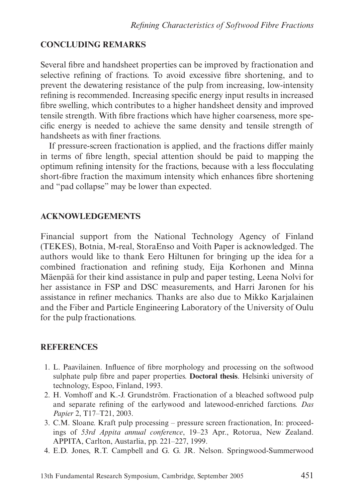# **CONCLUDING REMARKS**

Several fibre and handsheet properties can be improved by fractionation and selective refining of fractions. To avoid excessive fibre shortening, and to prevent the dewatering resistance of the pulp from increasing, low-intensity refining is recommended. Increasing specific energy input results in increased fibre swelling, which contributes to a higher handsheet density and improved tensile strength. With fibre fractions which have higher coarseness, more specific energy is needed to achieve the same density and tensile strength of handsheets as with finer fractions.

If pressure-screen fractionation is applied, and the fractions differ mainly in terms of fibre length, special attention should be paid to mapping the optimum refining intensity for the fractions, because with a less flocculating short-fibre fraction the maximum intensity which enhances fibre shortening and "pad collapse" may be lower than expected.

# **ACKNOWLEDGEMENTS**

Financial support from the National Technology Agency of Finland (TEKES), Botnia, M-real, StoraEnso and Voith Paper is acknowledged. The authors would like to thank Eero Hiltunen for bringing up the idea for a combined fractionation and refining study, Eija Korhonen and Minna Mäenpää for their kind assistance in pulp and paper testing, Leena Nolvi for her assistance in FSP and DSC measurements, and Harri Jaronen for his assistance in refiner mechanics. Thanks are also due to Mikko Karjalainen and the Fiber and Particle Engineering Laboratory of the University of Oulu for the pulp fractionations.

# **REFERENCES**

- 1. L. Paavilainen. Influence of fibre morphology and processing on the softwood sulphate pulp fibre and paper properties. **Doctoral thesis**. Helsinki university of technology, Espoo, Finland, 1993.
- 2. H. Vomhoff and K.-J. Grundström. Fractionation of a bleached softwood pulp and separate refining of the earlywood and latewood-enriched farctions. *Das Papier* 2, T17–T21, 2003.
- 3. C.M. Sloane. Kraft pulp processing pressure screen fractionation, In: proceedings of *53rd Appita annual conference*, 19–23 Apr., Rotorua, New Zealand. APPITA, Carlton, Austarlia, pp. 221–227, 1999.
- 4. E.D. Jones, R.T. Campbell and G. G. JR. Nelson. Springwood-Summerwood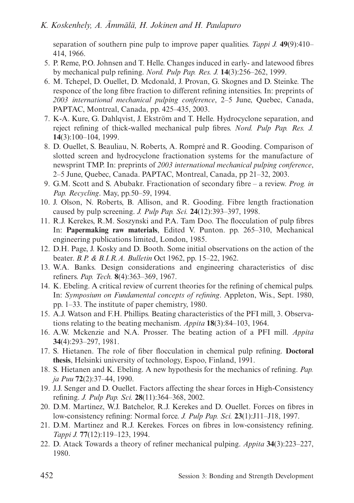separation of southern pine pulp to improve paper qualities. *Tappi J.* **49**(9):410– 414, 1966.

- 5. P. Reme, P.O. Johnsen and T. Helle. Changes induced in early- and latewood fibres by mechanical pulp refining. *Nord. Pulp Pap. Res. J.* **14**(3):256–262, 1999.
- 6. M. Tchepel, D. Ouellet, D. Mcdonald, J. Provan, G. Skognes and D. Steinke. The responce of the long fibre fraction to different refining intensities. In: preprints of *2003 international mechanical pulping conference*, 2–5 June, Quebec, Canada, PAPTAC, Montreal, Canada, pp. 425–435, 2003.
- 7. K-A. Kure, G. Dahlqvist, J. Ekström and T. Helle. Hydrocyclone separation, and reject refining of thick-walled mechanical pulp fibres. *Nord. Pulp Pap. Res. J.* **14**(3):100–104, 1999.
- 8. D. Ouellet, S. Beauliau, N. Roberts, A. Rompré and R. Gooding. Comparison of slotted screen and hydrocyclone fractionation systems for the manufacture of newsprint TMP. In: preprints of *2003 international mechanical pulping conference*, 2–5 June, Quebec, Canada. PAPTAC, Montreal, Canada, pp 21–32, 2003.
- 9. G.M. Scott and S. Abubakr. Fractionation of secondary fibre a review. *Prog. in Pap. Recycling*. May, pp.50–59, 1994.
- 10. J. Olson, N. Roberts, B. Allison, and R. Gooding. Fibre length fractionation caused by pulp screening. *J. Pulp Pap. Sci.* **24**(12):393–397, 1998.
- 11. R.J. Kerekes, R.M. Soszynski and P.A. Tam Doo. The flocculation of pulp fibres In: **Papermaking raw materials**, Edited V. Punton. pp. 265–310, Mechanical engineering publications limited, London, 1985.
- 12. D.H. Page, J. Kosky and D. Booth. Some initial observations on the action of the beater. *B.P. & B.I.R.A. Bulletin* Oct 1962, pp. 15–22, 1962.
- 13. W.A. Banks. Design considerations and engineering characteristics of disc refiners. *Pap. Tech.* **8**(4):363–369, 1967.
- 14. K. Ebeling. A critical review of current theories for the refining of chemical pulps. In: *Symposium on Fundamental concepts of refining*. Appleton, Wis., Sept. 1980, pp. 1–33. The institute of paper chemistry, 1980.
- 15. A.J. Watson and F.H. Phillips. Beating characteristics of the PFI mill, 3. Observations relating to the beating mechanism. *Appita* **18**(3):84–103, 1964.
- 16. A.W. Mckenzie and N.A. Prosser. The beating action of a PFI mill. *Appita* **34**(4):293–297, 1981.
- 17. S. Hietanen. The role of fiber flocculation in chemical pulp refining. **Doctoral thesis**, Helsinki university of technology, Espoo, Finland, 1991.
- 18. S. Hietanen and K. Ebeling. A new hypothesis for the mechanics of refining. *Pap. ja Puu* **72**(2):37–44, 1990.
- 19. J.J. Senger and D. Ouellet. Factors affecting the shear forces in High-Consistency refining. *J. Pulp Pap. Sci.* **28**(11):364–368, 2002.
- 20. D.M. Martinez, W.J. Batchelor, R.J. Kerekes and D. Ouellet. Forces on fibres in low-consistency refining: Normal force. *J. Pulp Pap. Sci.* **23**(1):J11–J18, 1997.
- 21. D.M. Martinez and R.J. Kerekes. Forces on fibres in low-consistency refining. *Tappi J.* **77**(12):119–123, 1994.
- 22. D. Atack Towards a theory of refiner mechanical pulping. *Appita* **34**(3):223–227, 1980.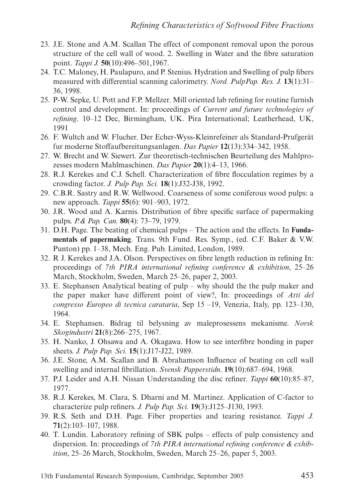- 23. J.E. Stone and A.M. Scallan The effect of component removal upon the porous structure of the cell wall of wood. 2. Swelling in Water and the fibre saturation point. *Tappi J.* **50**(10):496–501,1967.
- 24. T.C. Maloney, H. Paulapuro, and P. Stenius. Hydration and Swelling of pulp fibers measured with differential scanning calorimetry. *Nord. PulpPap. Res. J.* **13**(1):31– 36, 1998.
- 25. P-W. Sepke, U. Pott and F.P. Mellzer. Mill oriented lab refining for routine furnish control and development. In: proceedings of *Current and future technologies of refining*. 10–12 Dec, Birmingham, UK. Pira International; Leatherhead, UK, 1991
- 26. F. Wultch and W. Flucher. Der Echer-Wyss-Kleinrefeiner als Standard-Prufgerät fur moderne Stoffaufbereitungsanlagen. *Das Papier* **12**(13):334–342, 1958.
- 27. W. Brecht and W. Siewert. Zur theoretisch-technischen Beurteilung des Mahlprozesses modern Mahlmaschinen. *Das Papier* **20**(1):4–13, 1966.
- 28. R.J. Kerekes and C.J. Schell. Characterization of fibre flocculation regimes by a crowding factor. *J. Pulp Pap. Sci.* **18**(1):J32-J38, 1992.
- 29. C.B.R. Sastry and R.W. Wellwood. Coarseness of some coniferous wood pulps: a new approach. *Tappi* **55**(6): 901–903, 1972.
- 30. J.R. Wood and A. Karnis. Distribution of fibre specific surface of papermaking pulps. *P.& Pap. Can.* **80**(4): 73–79, 1979.
- 31. D.H. Page. The beating of chemical pulps The action and the effects. In **Fundamentals of papermaking**. Trans. 9th Fund. Res. Symp., (ed. C.F. Baker & V.W. Punton) pp. 1–38, Mech. Eng. Pub. Limited, London, 1989.
- 32. R J. Kerekes and J.A. Olson. Perspectives on fibre length reduction in refining In: proceedings of *7th PIRA international refining conference & exhibition*, 25–26 March, Stockholm, Sweden, March 25–26, paper 2, 2003.
- 33. E. Stephansen Analytical beating of pulp why should the the pulp maker and the paper maker have different point of view?, In: proceedings of *Atti del congresso Europeo di tecnica carataria*, Sep 15 –19, Venezia, Italy, pp. 123–130, 1964.
- 34. E. Stephansen. Bidrag til belysning av maleprosessens mekanisme. *Norsk Skogindustri* **21**(8):266–275, 1967.
- 35. H. Nanko, J. Ohsawa and A. Okagawa. How to see interfibre bonding in paper sheets. *J. Pulp Pap. Sci.* **15**(1):J17-J22, 1989.
- 36. J.E. Stone, A.M. Scallan and B. Abrahamson Influence of beating on cell wall swelling and internal fibrillation. *Svensk Papperstidn*. **19**(10):687–694, 1968.
- 37. P.J. Leider and A.H. Nissan Understanding the disc refiner. *Tappi* **60**(10):85–87, 1977.
- 38. R.J. Kerekes, M. Clara, S. Dharni and M. Martinez. Application of C-factor to characterize pulp refiners. *J. Pulp Pap. Sci.* **19**(3):J125–J130, 1993.
- 39. R.S. Seth and D.H. Page. Fiber properties and tearing resistance. *Tappi J.* **71**(2):103–107, 1988.
- 40. T. Lundin. Laboratory refining of SBK pulps effects of pulp consistency and dispersion. In: proceedings of *7th PIRA international refining conference & exhibition*, 25–26 March, Stockholm, Sweden, March 25–26, paper 5, 2003.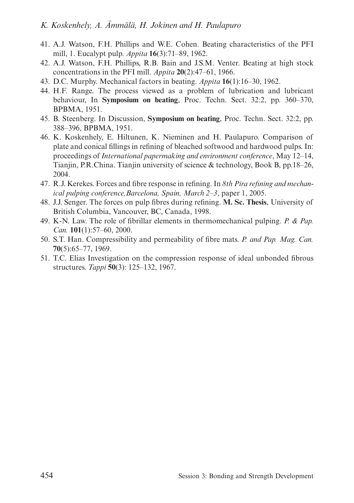- 41. A.J. Watson, F.H. Phillips and W.E. Cohen. Beating characteristics of the PFI mill, 1. Eucalypt pulp. *Appita* **16**(3):71–89, 1962.
- 42. A.J. Watson, F.H. Phillips, R.B. Bain and J.S.M. Venter. Beating at high stock concentrations in the PFI mill. *Appita* **20**(2):47–61, 1966.
- 43. D.C. Murphy. Mechanical factors in beating. *Appita* **16**(1):16–30, 1962.
- 44. H.F. Range. The process viewed as a problem of lubrication and lubricant behaviour, In **Symposium on beating**, Proc. Techn. Sect. 32:2, pp. 360–370, BPBMA, 1951.
- 45. B. Steenberg. In Discussion, **Symposium on beating**, Proc. Techn. Sect. 32:2, pp. 388–396, BPBMA, 1951.
- 46. K. Koskenhely, E. Hiltunen, K. Nieminen and H. Paulapuro. Comparison of plate and conical fillings in refining of bleached softwood and hardwood pulps. In: proceedings of *International papermaking and environment conference*, May 12–14, Tianjin, P.R.China. Tianjin university of science & technology, Book B, pp.18–26, 2004.
- 47. R.J. Kerekes. Forces and fibre response in refining. In *8th Pira refining and mechanical pulping conference,Barcelona, Spain, March 2–3*, paper 1, 2005.
- 48. J.J. Senger. The forces on pulp fibres during refining. **M. Sc. Thesis**, University of British Columbia, Vancouver, BC, Canada, 1998.
- 49. K-N. Law. The role of fibrillar elements in thermomechanical pulping. *P. & Pap. Can.* **101**(1):57–60, 2000.
- 50. S.T. Han. Compressibility and permeability of fibre mats. *P. and Pap. Mag. Can.* **70**(5):65–77, 1969.
- 51. T.C. Elias Investigation on the compression response of ideal unbonded fibrous structures. *Tappi* **50**(3): 125–132, 1967.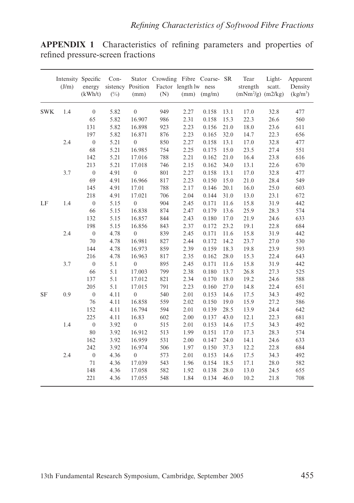**APPENDIX 1** Characteristics of refining parameters and properties of refined pressure-screen fractions

|            | Intensity Specific<br>(J/m) | energy<br>(kWh/t) | Con-<br>$(\%)$ | sistency Position<br>(mm) | Stator Crowding Fibre Coarse- SR<br>(N) | Factor length lw ness<br>(mm) | (mg/m) |      | Tear<br>strength<br>$(mNm2/g)$ $(m2/kg)$ | Light-<br>scatt. | Apparent<br>Density<br>$\frac{\text{kg}}{\text{m}^3}$ |
|------------|-----------------------------|-------------------|----------------|---------------------------|-----------------------------------------|-------------------------------|--------|------|------------------------------------------|------------------|-------------------------------------------------------|
| <b>SWK</b> | 1.4                         | $\mathbf{0}$      | 5.82           | $\mathbf{0}$              | 949                                     | 2.27                          | 0.158  | 13.1 | 17.0                                     | 32.8             | 477                                                   |
|            |                             | 65                | 5.82           | 16.907                    | 986                                     | 2.31                          | 0.158  | 15.3 | 22.3                                     | 26.6             | 560                                                   |
|            |                             | 131               | 5.82           | 16.898                    | 923                                     | 2.23                          | 0.156  | 21.0 | 18.0                                     | 23.6             | 611                                                   |
|            |                             | 197               | 5.82           | 16.871                    | 876                                     | 2.23                          | 0.165  | 32.0 | 14.7                                     | 22.3             | 656                                                   |
|            | 2.4                         | $\boldsymbol{0}$  | 5.21           | $\mathbf{0}$              | 850                                     | 2.27                          | 0.158  | 13.1 | 17.0                                     | 32.8             | 477                                                   |
|            |                             | 68                | 5.21           | 16.985                    | 754                                     | 2.25                          | 0.175  | 15.0 | 23.5                                     | 27.4             | 551                                                   |
|            |                             | 142               | 5.21           | 17.016                    | 788                                     | 2.21                          | 0.162  | 21.0 | 16.4                                     | 23.8             | 616                                                   |
|            |                             | 213               | 5.21           | 17.018                    | 746                                     | 2.15                          | 0.162  | 34.0 | 13.1                                     | 22.6             | 670                                                   |
|            | 3.7                         | $\boldsymbol{0}$  | 4.91           | $\mathbf{0}$              | 801                                     | 2.27                          | 0.158  | 13.1 | 17.0                                     | 32.8             | 477                                                   |
|            |                             | 69                | 4.91           | 16.966                    | 817                                     | 2.23                          | 0.150  | 15.0 | 21.0                                     | 28.4             | 549                                                   |
|            |                             | 145               | 4.91           | 17.01                     | 788                                     | 2.17                          | 0.146  | 20.1 | 16.0                                     | 25.0             | 603                                                   |
|            |                             | 218               | 4.91           | 17.021                    | 706                                     | 2.04                          | 0.144  | 31.0 | 13.0                                     | 23.1             | 672                                                   |
| LF         | 1.4                         | $\boldsymbol{0}$  | 5.15           | $\boldsymbol{0}$          | 904                                     | 2.45                          | 0.171  | 11.6 | 15.8                                     | 31.9             | 442                                                   |
|            |                             | 66                | 5.15           | 16.838                    | 874                                     | 2.47                          | 0.179  | 13.6 | 25.9                                     | 28.3             | 574                                                   |
|            |                             | 132               | 5.15           | 16.857                    | 844                                     | 2.43                          | 0.180  | 17.0 | 21.9                                     | 24.6             | 633                                                   |
|            |                             | 198               | 5.15           | 16.856                    | 843                                     | 2.37                          | 0.172  | 23.2 | 19.1                                     | 22.8             | 684                                                   |
|            | 2.4                         | $\boldsymbol{0}$  | 4.78           | $\boldsymbol{0}$          | 839                                     | 2.45                          | 0.171  | 11.6 | 15.8                                     | 31.9             | 442                                                   |
|            |                             | 70                | 4.78           | 16.981                    | 827                                     | 2.44                          | 0.172  | 14.2 | 23.7                                     | 27.0             | 530                                                   |
|            |                             | 144               | 4.78           | 16.973                    | 859                                     | 2.39                          | 0.159  | 18.3 | 19.8                                     | 23.9             | 593                                                   |
|            |                             | 216               | 4.78           | 16.963                    | 817                                     | 2.35                          | 0.162  | 28.0 | 15.3                                     | 22.4             | 643                                                   |
|            | 3.7                         | $\boldsymbol{0}$  | 5.1            | $\boldsymbol{0}$          | 895                                     | 2.45                          | 0.171  | 11.6 | 15.8                                     | 31.9             | 442                                                   |
|            |                             | 66                | 5.1            | 17.003                    | 799                                     | 2.38                          | 0.180  | 13.7 | 26.8                                     | 27.3             | 525                                                   |
|            |                             | 137               | 5.1            | 17.012                    | 821                                     | 2.34                          | 0.170  | 18.0 | 19.2                                     | 24.6             | 588                                                   |
|            |                             | 205               | 5.1            | 17.015                    | 791                                     | 2.23                          | 0.160  | 27.0 | 14.8                                     | 22.4             | 651                                                   |
| SF         | 0.9                         | $\boldsymbol{0}$  | 4.11           | $\boldsymbol{0}$          | 540                                     | 2.01                          | 0.153  | 14.6 | 17.5                                     | 34.3             | 492                                                   |
|            |                             | 76                | 4.11           | 16.858                    | 559                                     | 2.02                          | 0.150  | 19.0 | 15.9                                     | 27.2             | 586                                                   |
|            |                             | 152               | 4.11           | 16.794                    | 594                                     | 2.01                          | 0.139  | 28.5 | 13.9                                     | 24.4             | 642                                                   |
|            |                             | 225               | 4.11           | 16.83                     | 602                                     | 2.00                          | 0.137  | 43.0 | 12.1                                     | 22.3             | 681                                                   |
|            | 1.4                         | $\boldsymbol{0}$  | 3.92           | $\mathbf{0}$              | 515                                     | 2.01                          | 0.153  | 14.6 | 17.5                                     | 34.3             | 492                                                   |
|            |                             | 80                | 3.92           | 16.912                    | 513                                     | 1.99                          | 0.151  | 17.0 | 17.3                                     | 28.3             | 574                                                   |
|            |                             | 162               | 3.92           | 16.959                    | 531                                     | 2.00                          | 0.147  | 24.0 | 14.1                                     | 24.6             | 633                                                   |
|            |                             | 242               | 3.92           | 16.974                    | 506                                     | 1.97                          | 0.150  | 37.3 | 12.2                                     | 22.8             | 684                                                   |
|            | 2.4                         | $\boldsymbol{0}$  | 4.36           | $\boldsymbol{0}$          | 573                                     | 2.01                          | 0.153  | 14.6 | 17.5                                     | 34.3             | 492                                                   |
|            |                             | 71                | 4.36           | 17.039                    | 543                                     | 1.96                          | 0.154  | 18.5 | 17.1                                     | 28.0             | 582                                                   |
|            |                             | 148               | 4.36           | 17.058                    | 582                                     | 1.92                          | 0.138  | 28.0 | 13.0                                     | 24.5             | 655                                                   |
|            |                             | 221               | 4.36           | 17.055                    | 548                                     | 1.84                          | 0.134  | 46.0 | 10.2                                     | 21.8             | 708                                                   |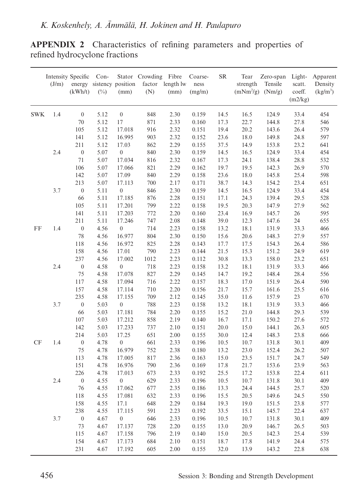| <b>APPENDIX 2</b> Characteristics of refining parameters and properties of |  |  |  |  |
|----------------------------------------------------------------------------|--|--|--|--|
| refined hydrocyclone fractions                                             |  |  |  |  |

|            | <b>Intensity Specific</b><br>(J/m) | energy<br>(kWh/t) | Con-<br>$(\%)$ | sistency position<br>(mm) | Stator Crowding Fibre<br>(N) | factor length lw<br>(mm) | Coarse-<br>ness<br>(mg/m) | SR   | Tear<br>strength<br>$(mNm2/g)$ $(Nm/g)$ | Zero-span<br>Tensile | Light-<br>scatt.<br>coeff.<br>(m2/kg) | Apparent<br>Density<br>$(kg/m^3)$ |
|------------|------------------------------------|-------------------|----------------|---------------------------|------------------------------|--------------------------|---------------------------|------|-----------------------------------------|----------------------|---------------------------------------|-----------------------------------|
| <b>SWK</b> | 1.4                                | $\mathbf{0}$      | 5.12           | $\overline{0}$            | 848                          | 2.30                     | 0.159                     | 14.5 | 16.5                                    | 124.9                | 33.4                                  | 454                               |
|            |                                    | 70                | 5.12           | 17                        | 871                          | 2.33                     | 0.160                     | 17.3 | 22.7                                    | 144.8                | 27.8                                  | 546                               |
|            |                                    | 105               | 5.12           | 17.018                    | 916                          | 2.32                     | 0.151                     | 19.4 | 20.2                                    | 143.6                | 26.4                                  | 579                               |
|            |                                    | 141               | 5.12           | 16.995                    | 903                          | 2.32                     | 0.152                     | 23.6 | 18.0                                    | 149.8                | 24.8                                  | 597                               |
|            |                                    | 211               | 5.12           | 17.03                     | 862                          | 2.29                     | 0.155                     | 37.5 | 14.9                                    | 153.8                | 23.2                                  | 641                               |
|            | 2.4                                | $\boldsymbol{0}$  | 5.07           | $\boldsymbol{0}$          | 840                          | 2.30                     | 0.159                     | 14.5 | 16.5                                    | 124.9                | 33.4                                  | 454                               |
|            |                                    | 71                | 5.07           | 17.034                    | 816                          | 2.32                     | 0.167                     | 17.3 | 24.1                                    | 138.4                | 28.8                                  | 532                               |
|            |                                    | 106               | 5.07           | 17.066                    | 821                          | 2.29                     | 0.162                     | 19.7 | 19.5                                    | 142.3                | 26.9                                  | 570                               |
|            |                                    | 142               | 5.07           | 17.09                     | 840                          | 2.29                     | 0.158                     | 23.6 | 18.0                                    | 145.8                | 25.4                                  | 598                               |
|            |                                    | 213               | 5.07           | 17.113                    | 700                          | 2.17                     | 0.171                     | 38.7 | 14.3                                    | 154.2                | 23.4                                  | 651                               |
|            | 3.7                                | $\boldsymbol{0}$  | 5.11           | $\boldsymbol{0}$          | 846                          | 2.30                     | 0.159                     | 14.5 | 16.5                                    | 124.9                | 33.4                                  | 454                               |
|            |                                    | 66                | 5.11           | 17.185                    | 876                          | 2.28                     | 0.151                     | 17.1 | 24.3                                    | 139.4                | 29.5                                  | 528                               |
|            |                                    | 105               | 5.11           | 17.201                    | 799                          | 2.22                     | 0.158                     | 19.5 | 20.3                                    | 147.9                | 27.9                                  | 562                               |
|            |                                    | 141               | 5.11           | 17.203                    | 772                          | 2.20                     | 0.160                     | 23.4 | 16.9                                    | 145.7                | 26                                    | 595                               |
|            |                                    | 211               | 5.11           | 17.246                    | 747                          | 2.08                     | 0.148                     | 39.0 | 12.3                                    | 147.6                | 24                                    | 655                               |
| FF         | 1.4                                | $\boldsymbol{0}$  | 4.56           | $\boldsymbol{0}$          | 714                          | 2.23                     | 0.158                     | 13.2 | 18.1                                    | 131.9                | 33.3                                  | 466                               |
|            |                                    | 78                | 4.56           | 16.977                    | 804                          | 2.30                     | 0.150                     | 15.6 | 20.6                                    | 148.3                | 27.9                                  | 557                               |
|            |                                    | 118               | 4.56           | 16.972                    | 825                          | 2.28                     | 0.143                     | 17.7 | 17.5                                    | 154.3                | 26.4                                  | 586                               |
|            |                                    | 158               | 4.56           | 17.01                     | 790                          | 2.23                     | 0.144                     | 21.5 | 15.3                                    | 151.2                | 24.9                                  | 619                               |
|            |                                    | 237               | 4.56           | 17.002                    | 1012                         | 2.23                     | 0.112                     | 30.8 | 13.3                                    | 158.0                | 23.2                                  | 651                               |
|            | 2.4                                | $\boldsymbol{0}$  | 4.58           | $\boldsymbol{0}$          | 718                          | 2.23                     | 0.158                     | 13.2 | 18.1                                    | 131.9                | 33.3                                  | 466                               |
|            |                                    | 75                | 4.58           | 17.078                    | 827                          | 2.29                     | 0.145                     | 14.7 | 19.2                                    | 148.4                | 28.4                                  | 556                               |
|            |                                    | 117               | 4.58           | 17.094                    | 716                          | 2.22                     | 0.157                     | 18.3 | 17.0                                    | 151.9                | 26.4                                  | 590                               |
|            |                                    | 157               | 4.58           | 17.114                    | 710                          | 2.20                     | 0.156                     | 21.7 | 15.7                                    | 161.6                | 25.5                                  | 616                               |
|            |                                    | 235               | 4.58           | 17.155                    | 709                          | 2.12                     | 0.145                     | 35.0 | 11.6                                    | 157.9                | 23                                    | 670                               |
|            | 3.7                                | $\boldsymbol{0}$  | 5.03           | $\boldsymbol{0}$          | 788                          | 2.23                     | 0.158                     | 13.2 | 18.1                                    | 131.9                | 33.3                                  | 466                               |
|            |                                    | 66                | 5.03           | 17.181                    | 784                          | 2.20                     | 0.155                     | 15.2 | 21.0                                    | 144.8                | 29.3                                  | 539                               |
|            |                                    | 107               | 5.03           | 17.212                    | 858                          | 2.19                     | 0.140                     | 16.7 | 17.1                                    | 150.2                | 27.6                                  | 572                               |
|            |                                    | 142               | 5.03           | 17.233                    | 737                          | 2.10                     | 0.151                     | 20.0 | 15.0                                    | 144.1                | 26.3                                  | 605                               |
|            |                                    | 214               | 5.03           | 17.25                     | 651                          | 2.00                     | 0.155                     | 30.0 | 12.4                                    | 148.3                | 23.8                                  | 666                               |
| CF         | 1.4                                | $\boldsymbol{0}$  | 4.78           | $\boldsymbol{0}$          | 661                          | 2.33                     | 0.196                     | 10.5 | 10.7                                    | 131.8                | 30.1                                  | 409                               |
|            |                                    | 75                | 4.78           | 16.979                    | 752                          | 2.38                     | 0.180                     | 13.2 | 23.0                                    | 152.4                | 26.2                                  | 507                               |
|            |                                    | 113               | 4.78           | 17.005                    | 817                          | 2.36                     | 0.163                     | 15.0 | 23.5                                    | 151.7                | 24.7                                  | 549                               |
|            |                                    | 151               | 4.78           | 16.976                    | 790                          | 2.36                     | 0.169                     | 17.8 | 21.7                                    | 153.6                | 23.9                                  | 563                               |
|            |                                    | 226               | 4.78           | 17.013                    | 673                          | 2.33                     | 0.192                     | 25.5 | 17.2                                    | 153.8                | 22.4                                  | 611                               |
|            | 2.4                                | $\boldsymbol{0}$  | 4.55           | $\boldsymbol{0}$          | 629                          | 2.33                     | 0.196                     | 10.5 | 10.7                                    | 131.8                | 30.1                                  | 409                               |
|            |                                    | 76                | 4.55           | 17.062                    | 677                          | 2.35                     | 0.186                     | 13.3 | 24.4                                    | 144.5                | 25.7                                  | 520                               |
|            |                                    | 118               | 4.55           | 17.081                    | 632                          | 2.33                     | 0.196                     | 15.5 | 20.5                                    | 149.6                | 24.5                                  | 550                               |
|            |                                    | 158               | 4.55           | 17.1                      | 648                          | 2.29                     | 0.184                     | 19.3 | 19.0                                    | 151.5                | 23.8                                  | 577                               |
|            |                                    | 238               | 4.55           | 17.115                    | 591                          | 2.23                     | 0.192                     | 33.5 | 15.1                                    | 145.7                | 22.4                                  | 637                               |
|            | 3.7                                | $\boldsymbol{0}$  | 4.67           | $\boldsymbol{0}$          | 646                          | 2.33                     | 0.196                     | 10.5 | 10.7                                    | 131.8                | 30.1                                  | 409                               |
|            |                                    | 73                | 4.67           | 17.137                    | 728                          | 2.20                     | 0.155                     | 13.0 | 20.9                                    | 146.7                | 26.5                                  | 503                               |
|            |                                    | 115               | 4.67           | 17.158                    | 796                          | 2.19                     | 0.140                     | 15.0 | 20.5                                    | 142.3                | 25.4                                  | 539                               |
|            |                                    | 154               | 4.67           | 17.173                    | 684                          | 2.10                     | 0.151                     | 18.7 | 17.8                                    | 141.9                | 24.4                                  | 575                               |
|            |                                    | 231               | 4.67           | 17.192                    | 605                          | 2.00                     | 0.155                     | 32.0 | 13.9                                    | 143.2                | 22.8                                  | 638                               |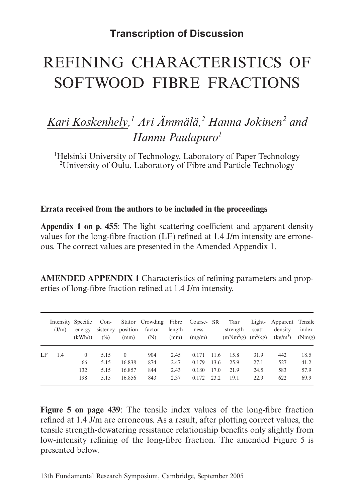# **Transcription of Discussion**

# REFINING CHARACTERISTICS OF SOFTWOOD FIBRE FRACTIONS

# *Kari Koskenhely, 1 Ari Ämmälä, 2 Hanna Jokinen2 and Hannu Paulapuro1*

<sup>1</sup>Helsinki University of Technology, Laboratory of Paper Technology 2 University of Oulu, Laboratory of Fibre and Particle Technology

**Errata received from the authors to be included in the proceedings**

**Appendix 1 on p. 455**: The light scattering coefficient and apparent density values for the long-fibre fraction (LF) refined at 1.4 J/m intensity are erroneous. The correct values are presented in the Amended Appendix 1.

**AMENDED APPENDIX 1** Characteristics of refining parameters and properties of long-fibre fraction refined at 1.4 J/m intensity.

|    | (J/m) | Intensity Specific Con-<br>energy<br>(kWh/t) | $(\%)$ | sistency position<br>(mm) | Stator Crowding Fibre Coarse- SR<br>factor<br>(N) | length<br>(mm) | ness<br>(mg/m) |      | Tear<br>strength<br>$(mNm^{2}/g)$ $(m^{2}/kg)$ | scatt. | Light- Apparent Tensile<br>density<br>$(kg/m^3)$ | index<br>(Nm/g) |
|----|-------|----------------------------------------------|--------|---------------------------|---------------------------------------------------|----------------|----------------|------|------------------------------------------------|--------|--------------------------------------------------|-----------------|
| LF | 1.4   | $\theta$                                     | 5.15   | $\Omega$                  | 904                                               | 2.45           | 0.171          | 11.6 | 15.8                                           | 31.9   | 442                                              | 18.5            |
|    |       | 66                                           | 5.15   | 16.838                    | 874                                               | 2.47           | 0.179          | 13.6 | 25.9                                           | 27.1   | 527                                              | 41.2            |
|    |       | 132                                          | 5.15   | 16.857                    | 844                                               | 2.43           | 0.180          | 17.0 | 21.9                                           | 24.5   | 583                                              | 57.9            |
|    |       | 198                                          | 5.15   | 16.856                    | 843                                               | 2.37           | 0.172          | 23.2 | 19.1                                           | 22.9   | 622                                              | 69.9            |

**Figure 5 on page 439**: The tensile index values of the long-fibre fraction refined at 1.4 J/m are erroneous. As a result, after plotting correct values, the tensile strength-dewatering resistance relationship benefits only slightly from low-intensity refining of the long-fibre fraction. The amended Figure 5 is presented below.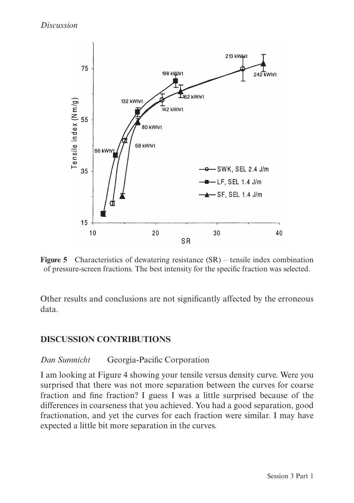

**Figure 5** Characteristics of dewatering resistance (SR) – tensile index combination of pressure-screen fractions. The best intensity for the specific fraction was selected.

Other results and conclusions are not significantly affected by the erroneous data.

## **DISCUSSION CONTRIBUTIONS**

## *Dan Sumnicht* Georgia-Pacific Corporation

I am looking at Figure 4 showing your tensile versus density curve. Were you surprised that there was not more separation between the curves for coarse fraction and fine fraction? I guess I was a little surprised because of the differences in coarseness that you achieved. You had a good separation, good fractionation, and yet the curves for each fraction were similar. I may have expected a little bit more separation in the curves.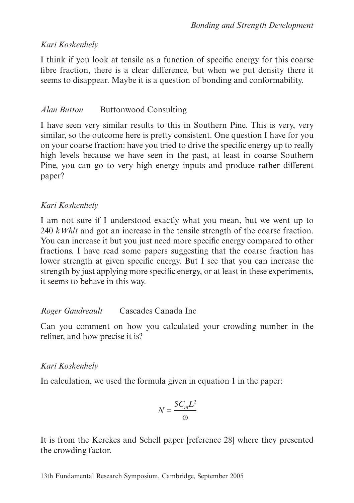# *Kari Koskenhely*

I think if you look at tensile as a function of specific energy for this coarse fibre fraction, there is a clear difference, but when we put density there it seems to disappear. Maybe it is a question of bonding and conformability.

# *Alan Button* Buttonwood Consulting

I have seen very similar results to this in Southern Pine. This is very, very similar, so the outcome here is pretty consistent. One question I have for you on your coarse fraction: have you tried to drive the specific energy up to really high levels because we have seen in the past, at least in coarse Southern Pine, you can go to very high energy inputs and produce rather different paper?

# *Kari Koskenhely*

I am not sure if I understood exactly what you mean, but we went up to 240 *kWh*/*t* and got an increase in the tensile strength of the coarse fraction. You can increase it but you just need more specific energy compared to other fractions. I have read some papers suggesting that the coarse fraction has lower strength at given specific energy. But I see that you can increase the strength by just applying more specific energy, or at least in these experiments, it seems to behave in this way.

## *Roger Gaudreault* Cascades Canada Inc

Can you comment on how you calculated your crowding number in the refiner, and how precise it is?

# *Kari Koskenhely*

In calculation, we used the formula given in equation 1 in the paper:

$$
N = \frac{5C_m L^2}{\omega}
$$

It is from the Kerekes and Schell paper [reference 28] where they presented the crowding factor.